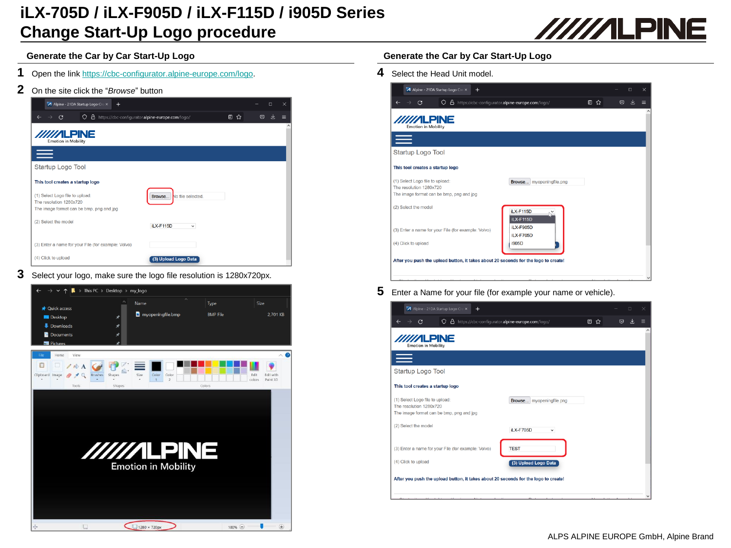# **iLX-705D / iLX-F905D / iLX-F115D / i905D Series Change Start-Up Logo procedure**



### **Generate the Car by Car Start-Up Logo Generate the Car by Car Start-Up Logo**

- **1** Open the link <https://cbc-configurator.alpine-europe.com/logo>.
- **2** On the site click the "*Browse*" button

| A Alpine - 21DA Startup Logo Cre X<br>$\pm$                                                            |                                                      |    |         | $\times$<br>$\Box$ |
|--------------------------------------------------------------------------------------------------------|------------------------------------------------------|----|---------|--------------------|
| C<br>$\rightarrow$                                                                                     | O & https://cbc-configurator.alpine-europe.com/logo/ | 目☆ | $\odot$ |                    |
| //////LPINE<br><b>Emotion in Mobility</b>                                                              |                                                      |    |         |                    |
| $=$                                                                                                    |                                                      |    |         |                    |
| Startup Logo Tool                                                                                      |                                                      |    |         |                    |
| This tool creates a startup logo                                                                       |                                                      |    |         |                    |
| (1) Select Logo file to upload:<br>The resolution 1280x720<br>The image format can be bmp, png and jpg | No file selected.<br>Browse                          |    |         |                    |
| (2) Select the model                                                                                   | iLX-F115D<br>$\check{~}$                             |    |         |                    |
| (3) Enter a name for your File (for example: Volvo)                                                    |                                                      |    |         |                    |
| (4) Click to upload                                                                                    | (3) Upload Logo Data                                 |    |         |                    |

**3** Select your logo, make sure the logo file resolution is 1280x720px.



**4** Select the Head Unit model.

| <b>/////ILPINE</b><br><b>Emotion in Mobility</b>                                                       |                               |  |  |
|--------------------------------------------------------------------------------------------------------|-------------------------------|--|--|
|                                                                                                        |                               |  |  |
| Startup Logo Tool                                                                                      |                               |  |  |
| This tool creates a startup logo                                                                       |                               |  |  |
| (1) Select Logo file to upload:<br>The resolution 1280x720<br>The image format can be bmp, png and jpg | Browse myopeningfile.png      |  |  |
| (2) Select the model                                                                                   | iLX-F115D<br>iLX-F115D        |  |  |
| (3) Enter a name for your File (for example: Volvo)                                                    | iLX-F905D<br><b>iLX-F705D</b> |  |  |
| (4) Click to upload                                                                                    | i905D                         |  |  |

**5** Enter <sup>a</sup> Name for your file (for example your name or vehicle).

| Alpine - 21DA Startup Logo Cre. X<br>$+$                                               |    |   | $\Box$ | $\times$            |
|----------------------------------------------------------------------------------------|----|---|--------|---------------------|
| O & https://cbc-configurator.alpine-europe.com/logo/<br>C                              | 目☆ | ☑ |        | Ξ                   |
| <b>/////ILPINE</b><br><b>Emotion in Mobility</b>                                       |    |   |        | $\hat{\phantom{a}}$ |
|                                                                                        |    |   |        |                     |
| Startup Logo Tool                                                                      |    |   |        |                     |
| This tool creates a startup logo                                                       |    |   |        |                     |
| (1) Select Logo file to upload:<br>Browse myopeningfile.png<br>The resolution 1280x720 |    |   |        |                     |
| The image format can be bmp, png and jpg                                               |    |   |        |                     |
| (2) Select the model<br><b>iLX-F705D</b><br>$\check{~}$                                |    |   |        |                     |
| <b>TEST</b><br>(3) Enter a name for your File (for example: Volvo)                     |    |   |        |                     |
|                                                                                        |    |   |        |                     |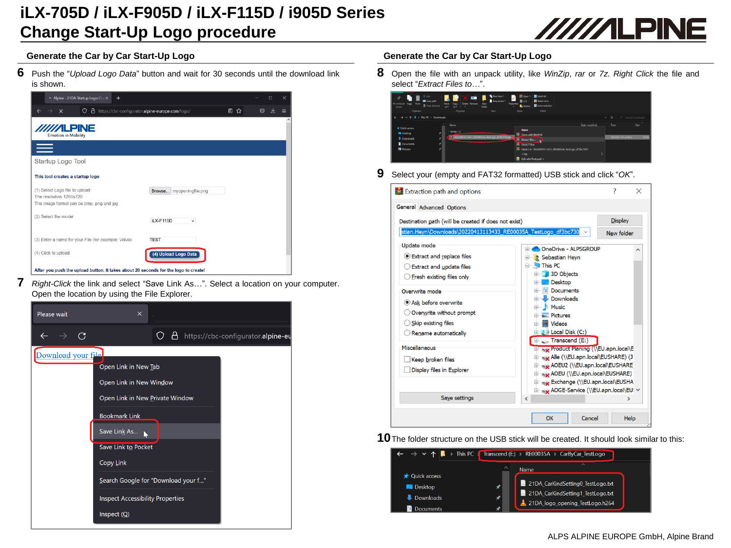## **iLX-705D / iLX-F905D / iLX-F115D / i905D Series Change Start-Up Logo procedure**



**6** Push the "*Upload Logo Data*" button and wait for <sup>30</sup> seconds until the download link is shown.



**7** *Right-Click* the link and select "Save Link As…". Select <sup>a</sup> location on your computer. Open the location by using the File Explorer.

| Please wait        | $\times$                                                                                                                                                                                                                                                                 |  |
|--------------------|--------------------------------------------------------------------------------------------------------------------------------------------------------------------------------------------------------------------------------------------------------------------------|--|
| $\rightarrow$ C    | □ https://cbc-configurator.alpine-eu                                                                                                                                                                                                                                     |  |
| Download your file | Open Link in New Tab<br>Open Link in New Window<br>Open Link in New Private Window<br><b>Bookmark Link</b><br>Save Link As<br>Save Link to Pocket<br><b>Copy Link</b><br>Search Google for "Download your f"<br><b>Inspect Accessibility Properties</b><br>Inspect $(Q)$ |  |

### **Generate the Car by Car Start-Up Logo Generate the Car by Car Start-Up Logo**

**8** Open the file with an unpack utility, like *WinZip*, *rar* or *7z*. *Right Click* the file and select "*Extract Files to…*".



**9** Select your (empty and FAT32 formatted) USB stick and click "*OK*".



**10**The folder structure on the USB stick will be created. It should look similar to this: